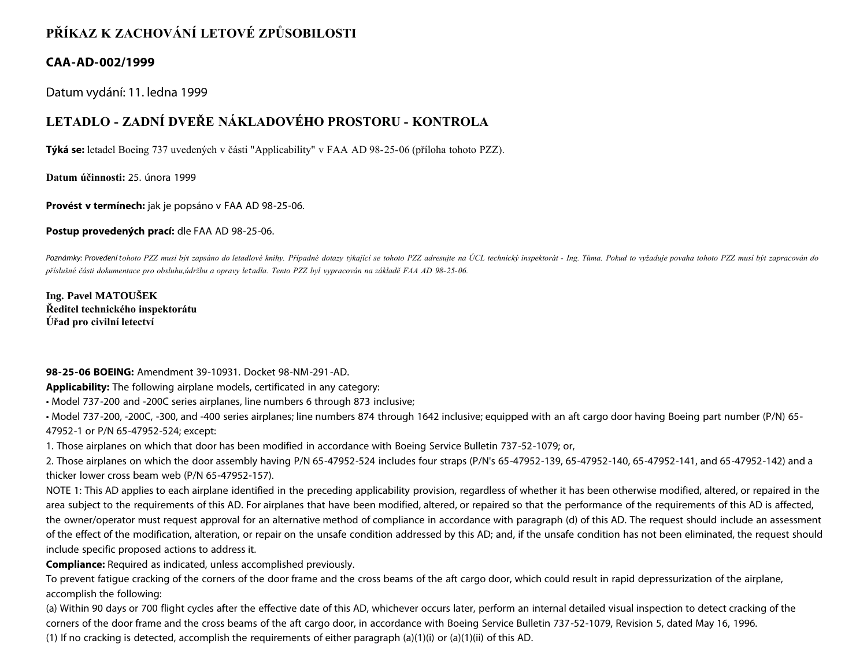## **PŘÍKAZ K ZACHOVÁNÍ LETOVÉ ZPŮSOBILOSTI**

## **CAA-AD-002/1999**

Datum vydání: 11. ledna 1999

## **LETADLO - ZADNÍ DVEŘE NÁKLADOVÉHO PROSTORU - KONTROLA**

**Týká se:** letadel Boeing 737 uvedených v části "Applicability" v FAA AD 98-25-06 (příloha tohoto PZZ).

**Datum účinnosti:** 25. února 1999

**Provést v termínech:** jak je popsáno v FAA AD 98-25-06.

**Postup provedených prací:** dle FAA AD 98-25-06.

Poznámky: Provedení tohoto PZZ musí být zapsáno do letadlové knihy. Případné dotazy týkající se tohoto PZZ adresujte na ÚCL technický inspektorát - Ing. Tůma. Pokud to vyžaduje povaha tohoto PZZ musí být zapracován do *příslušné části dokumentace pro obsluhu,údržbu a opravy letadla. Tento PZZ byl vypracován na základě FAA AD 98-25-06.*

**Ing. Pavel MATOUŠEK Ředitel technického inspektorátu Úřad pro civilní letectví**

**98-25-06 BOEING:** Amendment 39-10931. Docket 98-NM-291-AD.

**Applicability:** The following airplane models, certificated in any category:

• Model 737-200 and -200C series airplanes, line numbers 6 through 873 inclusive;

• Model 737-200, -200C, -300, and -400 series airplanes; line numbers 874 through 1642 inclusive; equipped with an aft cargo door having Boeing part number (P/N) 65- 47952-1 or P/N 65-47952-524; except:

1. Those airplanes on which that door has been modified in accordance with Boeing Service Bulletin 737-52-1079; or,

2. Those airplanes on which the door assembly having P/N 65-47952-524 includes four straps (P/N's 65-47952-139, 65-47952-140, 65-47952-141, and 65-47952-142) and a thicker lower cross beam web (P/N 65-47952-157).

NOTE 1: This AD applies to each airplane identified in the preceding applicability provision, regardless of whether it has been otherwise modified, altered, or repaired in the area subject to the requirements of this AD. For airplanes that have been modified, altered, or repaired so that the performance of the requirements of this AD is affected, the owner/operator must request approval for an alternative method of compliance in accordance with paragraph (d) of this AD. The request should include an assessment of the effect of the modification, alteration, or repair on the unsafe condition addressed by this AD; and, if the unsafe condition has not been eliminated, the request should include specific proposed actions to address it.

**Compliance:** Required as indicated, unless accomplished previously.

To prevent fatigue cracking of the corners of the door frame and the cross beams of the aft cargo door, which could result in rapid depressurization of the airplane, accomplish the following:

(a) Within 90 days or 700 flight cycles after the effective date of this AD, whichever occurs later, perform an internal detailed visual inspection to detect cracking of the corners of the door frame and the cross beams of the aft cargo door, in accordance with Boeing Service Bulletin 737-52-1079, Revision 5, dated May 16, 1996. (1) If no cracking is detected, accomplish the requirements of either paragraph (a)(1)(i) or (a)(1)(ii) of this AD.